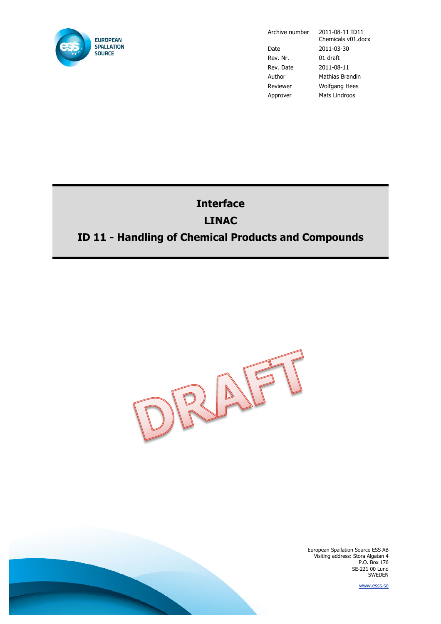

Date 2011-03-30 Rev. Nr. 01 draft Rev. Date 2011-08-11 Author Mathias Brandin Reviewer Wolfgang Hees Approver Mats Lindroos

Archive number 2011-08-11 ID11 Chemicals v01.docx

# **Interface LINAC ID 11 - Handling of Chemical Products and Compounds**



European Spallation Source ESS AB Visiting address: Stora Algatan 4 P.O. Box 176 SE-221 00 Lund SWEDEN

www.esss.se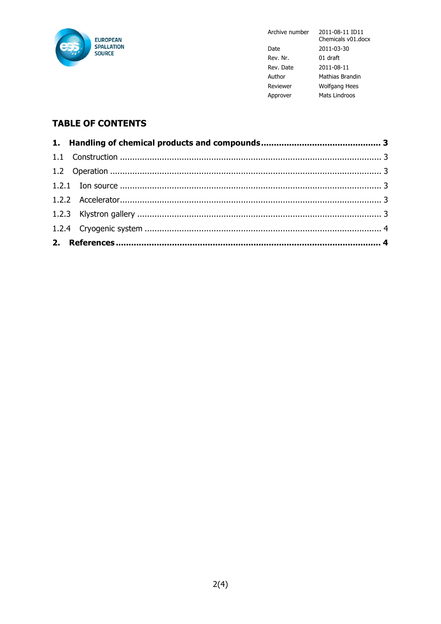

2011-08-11 ID11 Archive number Chemicals v01.docx Date 2011-03-30 Rev. Nr. 01 draft Rev. Date  $2011 - 08 - 11$ Author Mathias Brandin Reviewer Wolfgang Hees Approver Mats Lindroos

# **TABLE OF CONTENTS**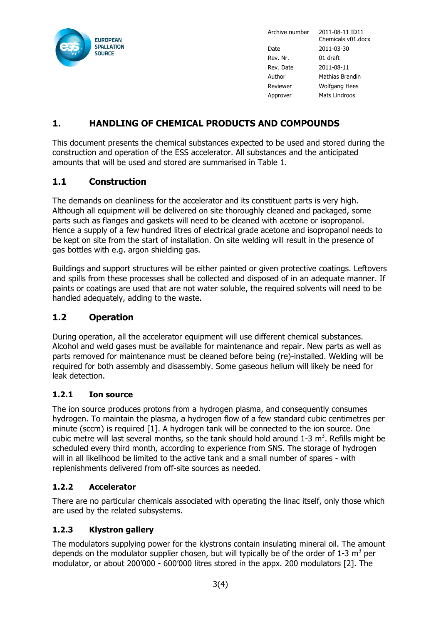

Archive number 2011-08-11 ID11 Chemicals v01.docx Date 2011-03-30 Rev. Nr. 01 draft Rev. Date 2011-08-11 Author Mathias Brandin Reviewer Wolfgang Hees Approver Mats Lindroos

# **1. HANDLING OF CHEMICAL PRODUCTS AND COMPOUNDS**

This document presents the chemical substances expected to be used and stored during the construction and operation of the ESS accelerator. All substances and the anticipated amounts that will be used and stored are summarised in Table 1.

## **1.1 Construction**

The demands on cleanliness for the accelerator and its constituent parts is very high. Although all equipment will be delivered on site thoroughly cleaned and packaged, some parts such as flanges and gaskets will need to be cleaned with acetone or isopropanol. Hence a supply of a few hundred litres of electrical grade acetone and isopropanol needs to be kept on site from the start of installation. On site welding will result in the presence of gas bottles with e.g. argon shielding gas.

Buildings and support structures will be either painted or given protective coatings. Leftovers and spills from these processes shall be collected and disposed of in an adequate manner. If paints or coatings are used that are not water soluble, the required solvents will need to be handled adequately, adding to the waste.

## **1.2 Operation**

During operation, all the accelerator equipment will use different chemical substances. Alcohol and weld gases must be available for maintenance and repair. New parts as well as parts removed for maintenance must be cleaned before being (re)-installed. Welding will be required for both assembly and disassembly. Some gaseous helium will likely be need for leak detection.

#### **1.2.1 Ion source**

The ion source produces protons from a hydrogen plasma, and consequently consumes hydrogen. To maintain the plasma, a hydrogen flow of a few standard cubic centimetres per minute (sccm) is required [1]. A hydrogen tank will be connected to the ion source. One cubic metre will last several months, so the tank should hold around 1-3  $m<sup>3</sup>$ . Refills might be scheduled every third month, according to experience from SNS. The storage of hydrogen will in all likelihood be limited to the active tank and a small number of spares - with replenishments delivered from off-site sources as needed.

## **1.2.2 Accelerator**

There are no particular chemicals associated with operating the linac itself, only those which are used by the related subsystems.

#### **1.2.3 Klystron gallery**

The modulators supplying power for the klystrons contain insulating mineral oil. The amount depends on the modulator supplier chosen, but will typically be of the order of 1-3  $m^3$  per modulator, or about 200'000 - 600'000 litres stored in the appx. 200 modulators [2]. The